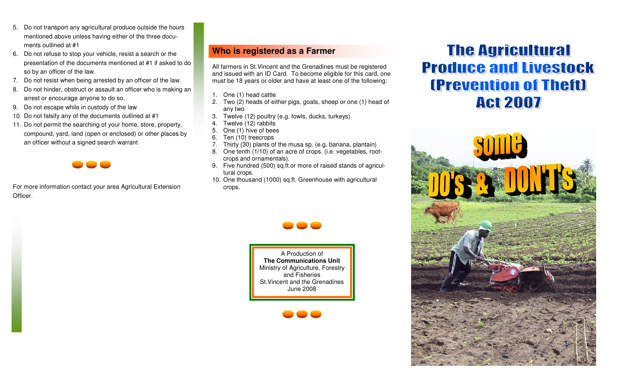- 5. Do not transport any agricultural produce outside the hours mentioned above unless having either of the three documents outlined at #1
- 6. Do not refuse to stop your vehicle, resist a search or the presentation of the documents mentioned at #1 if asked to do so by an officer of the law.
- 7. Do not resist when being arrested by an officer of the law.
- 8. Do not hinder, obstruct or assault an officer who is making an arrest or encourage anyone to do so.
- 9. Do not escape while in custody of the law
- 10. Do not falsify any of the documents outlined at #1
- 11. Do not permit the searching of your home, store, property, compound, yard, land (open or enclosed) or other places by an officer without a signed search warrant



For more information contact your area Agricultural Extension Officer.

## **Who is registered as a Farmer**

All farmers in St.Vincent and the Grenadines must be registered and issued with an ID Card. To become eligible for this card, one must be 18 years or older and have at least one of the following:

- 1. One (1) head cattle
- 2. Two (2) heads of either pigs, goats, sheep or one (1) head of any two
- 3. Twelve (12) poultry (e.g. fowls, ducks, turkeys)
- 4. Twelve (12) rabbits
- 5. One (1) hive of bees
- 6. Ten (10) treecrops
- 7. Thirty (30) plants of the musa sp. (e.g. banana, plantain)
- 8. One tenth (1/10) of an acre of crops. (i.e. vegetables, rootcrops and ornamentals).
- 9. Five hundred (500) sq.ft.or more of raised stands of agricultural crops.
- 10. One thousand (1000) sq.ft. Greenhouse with agricultural crops.



A Production of **The Communications Unit**  Ministry of Agriculture, Forestry and Fisheries St.Vincent and the Grenadines June 2008



# **The Agricultural Produce and Livestock (Prevention of Theft) Act 2007**